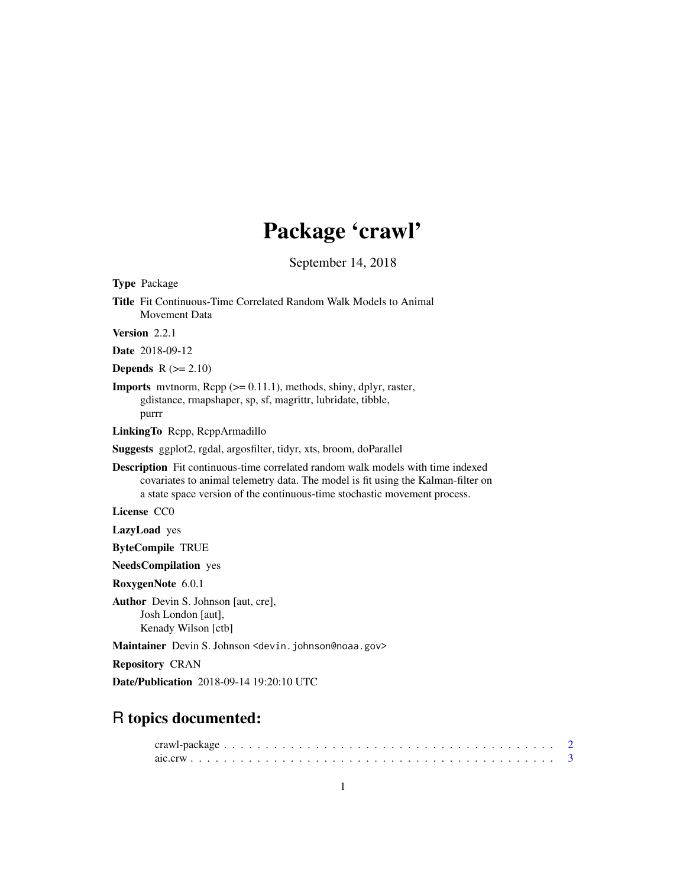# Package 'crawl'

September 14, 2018

<span id="page-0-0"></span>Type Package

Title Fit Continuous-Time Correlated Random Walk Models to Animal Movement Data

Version 2.2.1

Date 2018-09-12

**Depends**  $R$  ( $>= 2.10$ )

**Imports** mythorm,  $\text{Rcpp}$  ( $>= 0.11.1$ ), methods, shiny, dplyr, raster, gdistance, rmapshaper, sp, sf, magrittr, lubridate, tibble, purrr

LinkingTo Rcpp, RcppArmadillo

Suggests ggplot2, rgdal, argosfilter, tidyr, xts, broom, doParallel

Description Fit continuous-time correlated random walk models with time indexed covariates to animal telemetry data. The model is fit using the Kalman-filter on a state space version of the continuous-time stochastic movement process.

License CC0

LazyLoad yes

ByteCompile TRUE

NeedsCompilation yes

RoxygenNote 6.0.1

Author Devin S. Johnson [aut, cre], Josh London [aut], Kenady Wilson [ctb]

Maintainer Devin S. Johnson <devin. johnson@noaa.gov>

Repository CRAN

Date/Publication 2018-09-14 19:20:10 UTC

# R topics documented: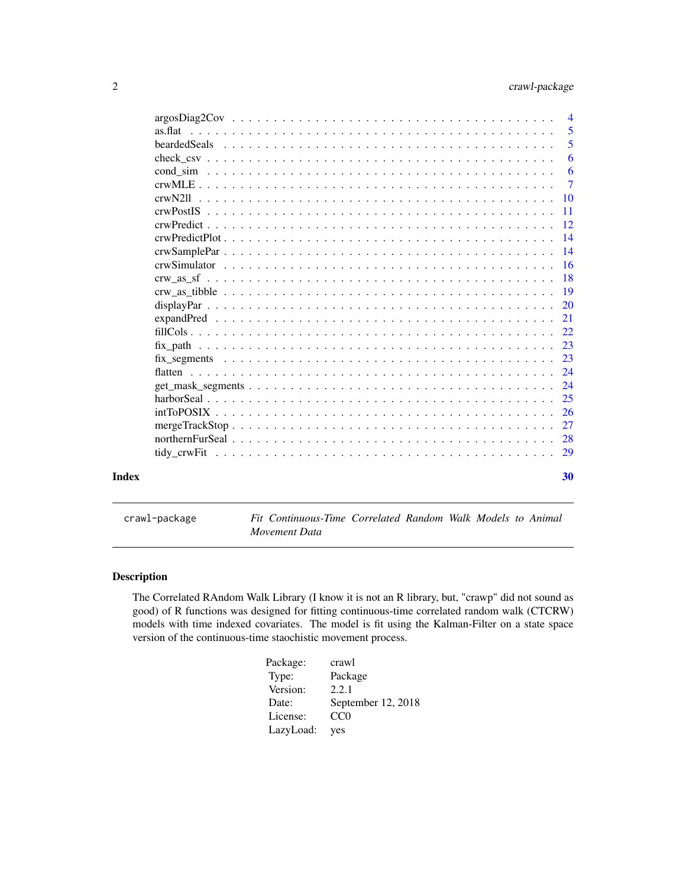<span id="page-1-0"></span>

|         | $\overline{4}$  |
|---------|-----------------|
| as flat | 5               |
|         | 5               |
|         | 6               |
|         | 6               |
|         | $\overline{7}$  |
|         | $\overline{10}$ |
|         | -11             |
|         |                 |
|         |                 |
|         |                 |
|         |                 |
|         |                 |
|         | -19             |
|         |                 |
|         |                 |
|         |                 |
|         | 23              |
|         |                 |
|         |                 |
|         | 24              |
|         |                 |
|         |                 |
|         | 27              |
|         |                 |
|         |                 |
| Index   | 30              |

crawl-package *Fit Continuous-Time Correlated Random Walk Models to Animal Movement Data*

# Description

The Correlated RAndom Walk Library (I know it is not an R library, but, "crawp" did not sound as good) of R functions was designed for fitting continuous-time correlated random walk (CTCRW) models with time indexed covariates. The model is fit using the Kalman-Filter on a state space version of the continuous-time staochistic movement process.

| Package:  | crawl              |
|-----------|--------------------|
| Type:     | Package            |
| Version:  | 2.2.1              |
| Date:     | September 12, 2018 |
| License:  | CC <sub>0</sub>    |
| LazyLoad: | yes                |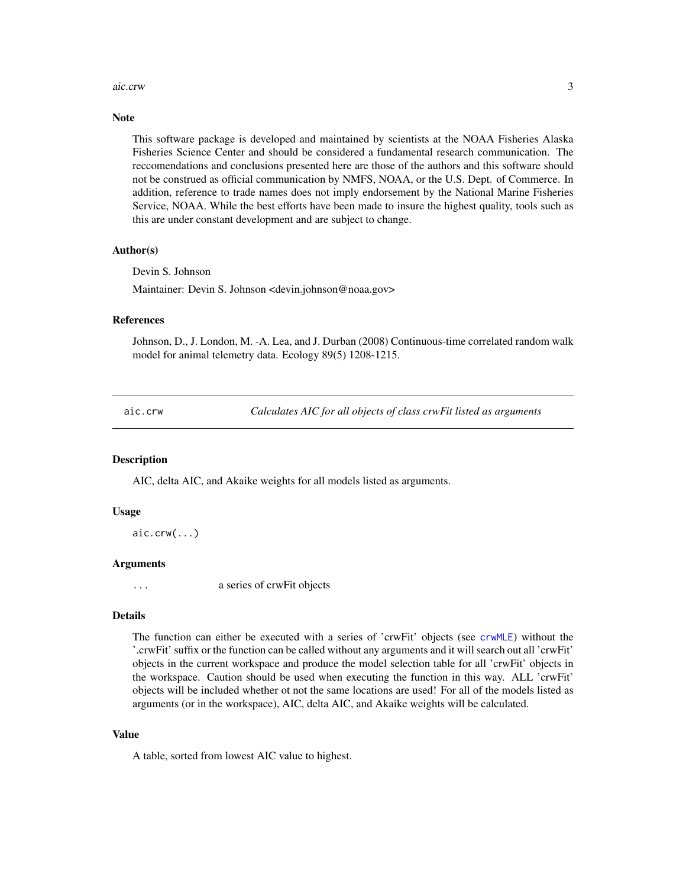#### <span id="page-2-0"></span>aic.crw 3

#### **Note**

This software package is developed and maintained by scientists at the NOAA Fisheries Alaska Fisheries Science Center and should be considered a fundamental research communication. The reccomendations and conclusions presented here are those of the authors and this software should not be construed as official communication by NMFS, NOAA, or the U.S. Dept. of Commerce. In addition, reference to trade names does not imply endorsement by the National Marine Fisheries Service, NOAA. While the best efforts have been made to insure the highest quality, tools such as this are under constant development and are subject to change.

#### Author(s)

Devin S. Johnson

Maintainer: Devin S. Johnson <devin.johnson@noaa.gov>

# References

Johnson, D., J. London, M. -A. Lea, and J. Durban (2008) Continuous-time correlated random walk model for animal telemetry data. Ecology 89(5) 1208-1215.

aic.crw *Calculates AIC for all objects of class crwFit listed as arguments*

#### Description

AIC, delta AIC, and Akaike weights for all models listed as arguments.

#### Usage

 $aic.crw(...)$ 

#### Arguments

... a series of crwFit objects

# Details

The function can either be executed with a series of 'crwFit' objects (see [crwMLE](#page-6-1)) without the '.crwFit' suffix or the function can be called without any arguments and it will search out all 'crwFit' objects in the current workspace and produce the model selection table for all 'crwFit' objects in the workspace. Caution should be used when executing the function in this way. ALL 'crwFit' objects will be included whether ot not the same locations are used! For all of the models listed as arguments (or in the workspace), AIC, delta AIC, and Akaike weights will be calculated.

# Value

A table, sorted from lowest AIC value to highest.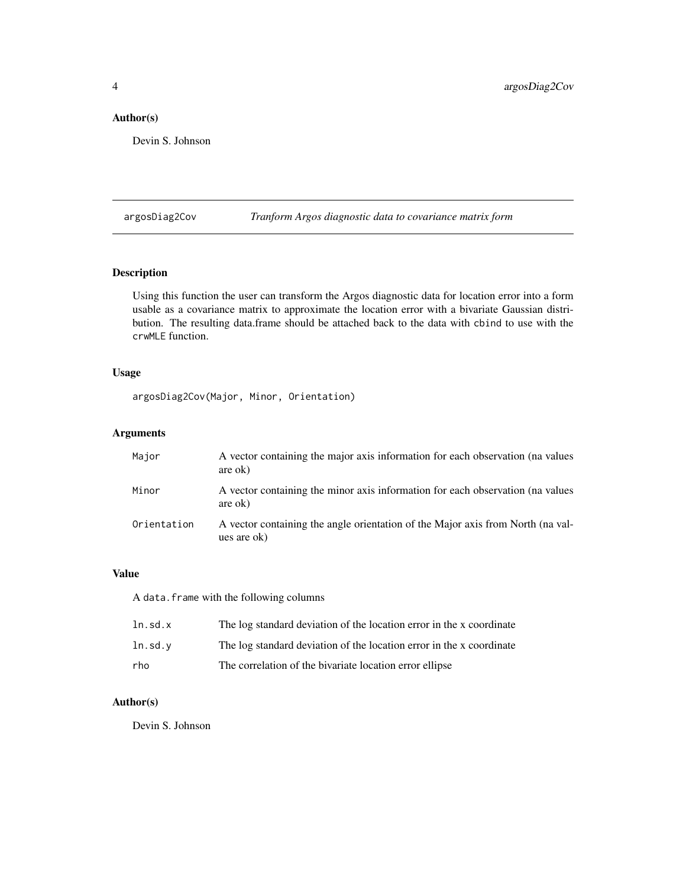# <span id="page-3-0"></span>Author(s)

Devin S. Johnson

argosDiag2Cov *Tranform Argos diagnostic data to covariance matrix form*

#### Description

Using this function the user can transform the Argos diagnostic data for location error into a form usable as a covariance matrix to approximate the location error with a bivariate Gaussian distribution. The resulting data.frame should be attached back to the data with cbind to use with the crwMLE function.

#### Usage

argosDiag2Cov(Major, Minor, Orientation)

# Arguments

| Major       | A vector containing the major axis information for each observation (na values<br>are ok)      |
|-------------|------------------------------------------------------------------------------------------------|
| Minor       | A vector containing the minor axis information for each observation (na values<br>are ok)      |
| Orientation | A vector containing the angle orientation of the Major axis from North (na val-<br>ues are ok) |

# Value

A data.frame with the following columns

| ln.sd.x   | The log standard deviation of the location error in the x coordinate |
|-----------|----------------------------------------------------------------------|
| ln . sd.v | The log standard deviation of the location error in the x coordinate |
| rho       | The correlation of the bivariate location error ellipse              |

# Author(s)

Devin S. Johnson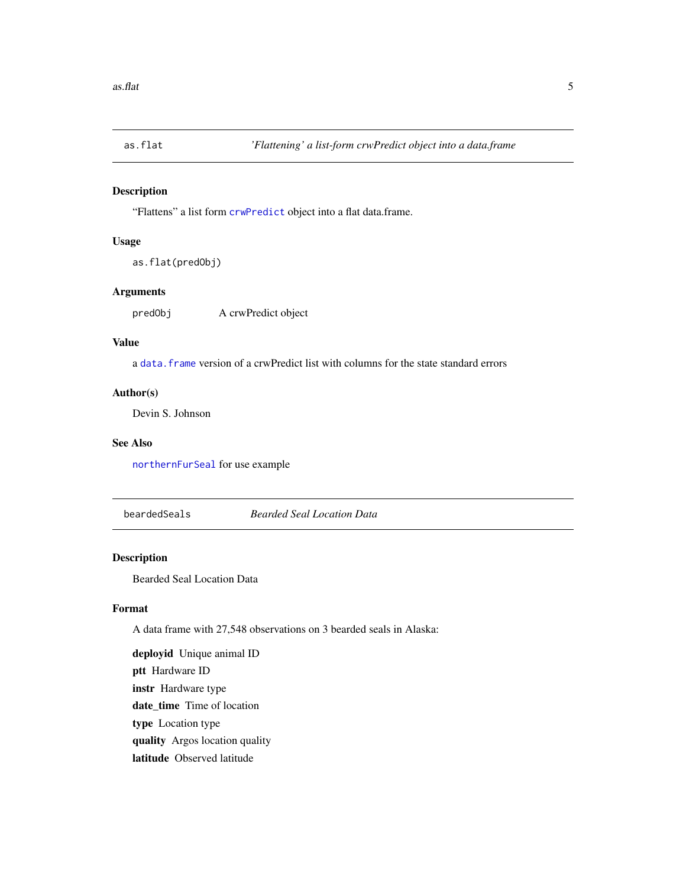<span id="page-4-0"></span>

"Flattens" a list form [crwPredict](#page-11-1) object into a flat data.frame.

#### Usage

```
as.flat(predObj)
```
# Arguments

predObj A crwPredict object

# Value

a [data.frame](#page-0-0) version of a crwPredict list with columns for the state standard errors

#### Author(s)

Devin S. Johnson

# See Also

[northernFurSeal](#page-27-1) for use example

beardedSeals *Bearded Seal Location Data*

# Description

Bearded Seal Location Data

# Format

A data frame with 27,548 observations on 3 bearded seals in Alaska:

deployid Unique animal ID ptt Hardware ID instr Hardware type date\_time Time of location type Location type quality Argos location quality latitude Observed latitude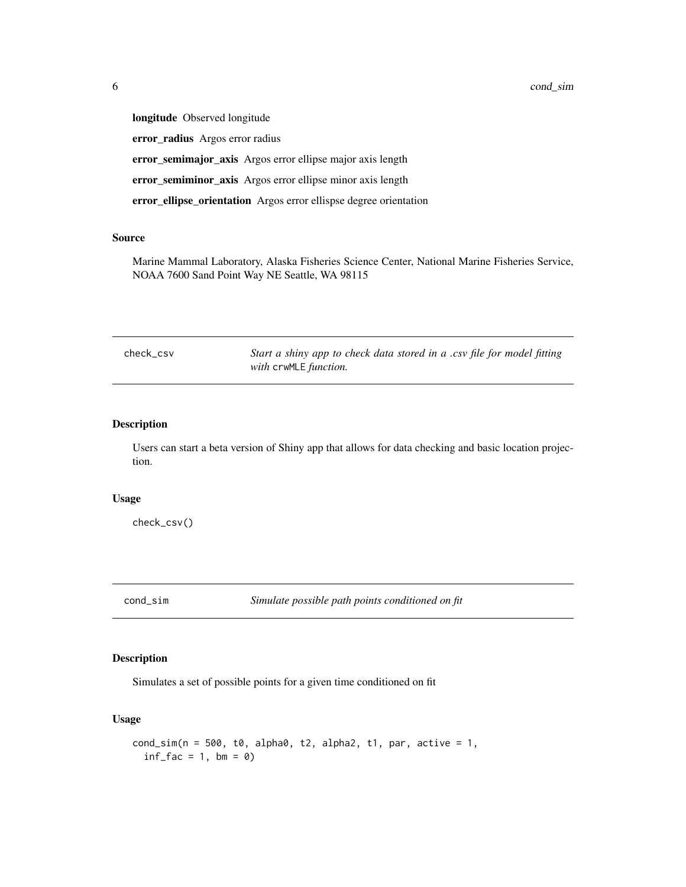<span id="page-5-0"></span>longitude Observed longitude error\_radius Argos error radius error\_semimajor\_axis Argos error ellipse major axis length error\_semiminor\_axis Argos error ellipse minor axis length error\_ellipse\_orientation Argos error ellispse degree orientation

#### Source

Marine Mammal Laboratory, Alaska Fisheries Science Center, National Marine Fisheries Service, NOAA 7600 Sand Point Way NE Seattle, WA 98115

check\_csv *Start a shiny app to check data stored in a .csv file for model fitting with* crwMLE *function.*

# Description

Users can start a beta version of Shiny app that allows for data checking and basic location projection.

#### Usage

check\_csv()

cond\_sim *Simulate possible path points conditioned on fit*

# Description

Simulates a set of possible points for a given time conditioned on fit

#### Usage

```
cond\_sim(n = 500, t0, alpha0, t2, alpha2, t1, par, active = 1,inf_fac = 1, bm = 0
```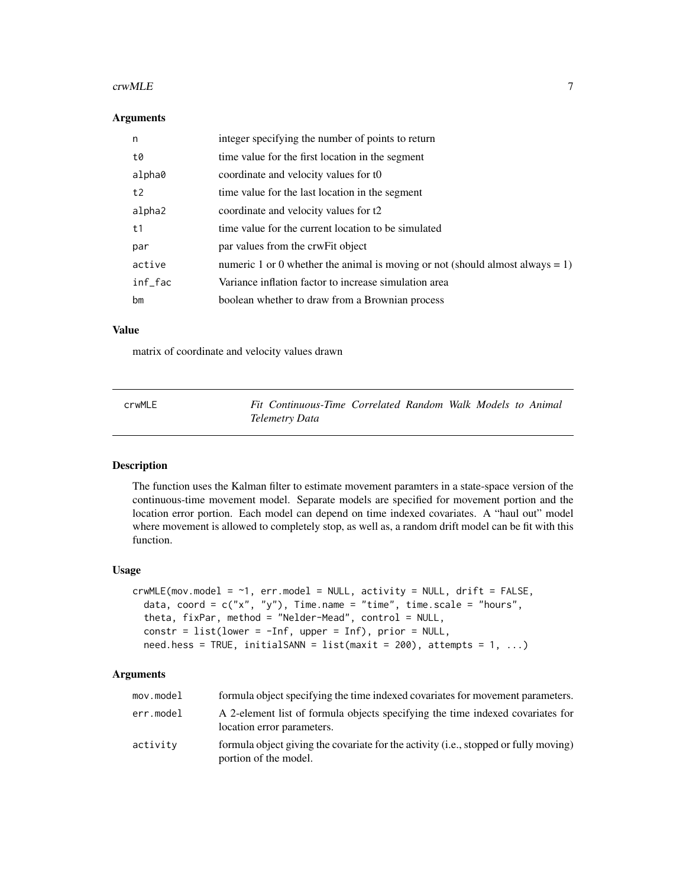#### <span id="page-6-0"></span> $\alpha$  crwMLE  $\alpha$  7

#### Arguments

| n       | integer specifying the number of points to return                                |
|---------|----------------------------------------------------------------------------------|
| t0      | time value for the first location in the segment                                 |
| alpha0  | coordinate and velocity values for to                                            |
| t2      | time value for the last location in the segment                                  |
| alpha2  | coordinate and velocity values for t2                                            |
| t1      | time value for the current location to be simulated                              |
| par     | par values from the crwFit object                                                |
| active  | numeric 1 or 0 whether the animal is moving or not (should almost always $= 1$ ) |
| inf_fac | Variance inflation factor to increase simulation area                            |
| bm      | boolean whether to draw from a Brownian process                                  |

#### Value

matrix of coordinate and velocity values drawn

<span id="page-6-1"></span>

| crwMLE | Fit Continuous-Time Correlated Random Walk Models to Animal |  |  |  |
|--------|-------------------------------------------------------------|--|--|--|
|        | Telemetry Data                                              |  |  |  |

#### Description

The function uses the Kalman filter to estimate movement paramters in a state-space version of the continuous-time movement model. Separate models are specified for movement portion and the location error portion. Each model can depend on time indexed covariates. A "haul out" model where movement is allowed to completely stop, as well as, a random drift model can be fit with this function.

#### Usage

```
crwMLE(mov_model = ~1, err.model = NULL, activity = NULL, drift = FALSE,data, coord = c("x", "y"), Time.name = "time", time.scale = "hours",
  theta, fixPar, method = "Nelder-Mead", control = NULL,
  constr = list(lower = -Inf, upper = Inf), prior = NULL,need. hess = TRUE, initialSANN = list(maxit = 200), attempts = 1, ...)
```
#### Arguments

| mov.model | formula object specifying the time indexed covariates for movement parameters.                                |
|-----------|---------------------------------------------------------------------------------------------------------------|
| err.model | A 2-element list of formula objects specifying the time indexed covariates for<br>location error parameters.  |
| activity  | formula object giving the covariate for the activity (i.e., stopped or fully moving)<br>portion of the model. |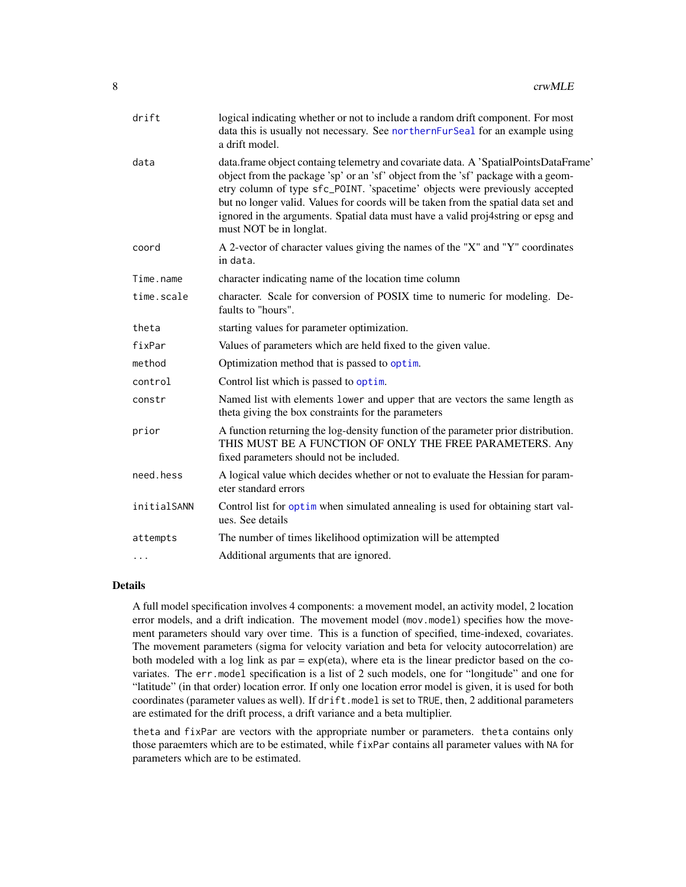<span id="page-7-0"></span>

| drift       | logical indicating whether or not to include a random drift component. For most<br>data this is usually not necessary. See northernFurSeal for an example using<br>a drift model.                                                                                                                                                                                                                                                                            |
|-------------|--------------------------------------------------------------------------------------------------------------------------------------------------------------------------------------------------------------------------------------------------------------------------------------------------------------------------------------------------------------------------------------------------------------------------------------------------------------|
| data        | data.frame object containg telemetry and covariate data. A 'SpatialPointsDataFrame'<br>object from the package 'sp' or an 'sf' object from the 'sf' package with a geom-<br>etry column of type sfc_POINT. 'spacetime' objects were previously accepted<br>but no longer valid. Values for coords will be taken from the spatial data set and<br>ignored in the arguments. Spatial data must have a valid proj4string or epsg and<br>must NOT be in longlat. |
| coord       | A 2-vector of character values giving the names of the "X" and "Y" coordinates<br>in data.                                                                                                                                                                                                                                                                                                                                                                   |
| Time.name   | character indicating name of the location time column                                                                                                                                                                                                                                                                                                                                                                                                        |
| time.scale  | character. Scale for conversion of POSIX time to numeric for modeling. De-<br>faults to "hours".                                                                                                                                                                                                                                                                                                                                                             |
| theta       | starting values for parameter optimization.                                                                                                                                                                                                                                                                                                                                                                                                                  |
| fixPar      | Values of parameters which are held fixed to the given value.                                                                                                                                                                                                                                                                                                                                                                                                |
| method      | Optimization method that is passed to optim.                                                                                                                                                                                                                                                                                                                                                                                                                 |
| control     | Control list which is passed to optim.                                                                                                                                                                                                                                                                                                                                                                                                                       |
| constr      | Named list with elements lower and upper that are vectors the same length as<br>theta giving the box constraints for the parameters                                                                                                                                                                                                                                                                                                                          |
| prior       | A function returning the log-density function of the parameter prior distribution.<br>THIS MUST BE A FUNCTION OF ONLY THE FREE PARAMETERS. Any<br>fixed parameters should not be included.                                                                                                                                                                                                                                                                   |
| need.hess   | A logical value which decides whether or not to evaluate the Hessian for param-<br>eter standard errors                                                                                                                                                                                                                                                                                                                                                      |
| initialSANN | Control list for optim when simulated annealing is used for obtaining start val-<br>ues. See details                                                                                                                                                                                                                                                                                                                                                         |
| attempts    | The number of times likelihood optimization will be attempted                                                                                                                                                                                                                                                                                                                                                                                                |
|             | Additional arguments that are ignored.                                                                                                                                                                                                                                                                                                                                                                                                                       |

#### Details

A full model specification involves 4 components: a movement model, an activity model, 2 location error models, and a drift indication. The movement model (mov.model) specifies how the movement parameters should vary over time. This is a function of specified, time-indexed, covariates. The movement parameters (sigma for velocity variation and beta for velocity autocorrelation) are both modeled with a log link as  $par = exp(eta)$ , where eta is the linear predictor based on the covariates. The err.model specification is a list of 2 such models, one for "longitude" and one for "latitude" (in that order) location error. If only one location error model is given, it is used for both coordinates (parameter values as well). If drift.model is set to TRUE, then, 2 additional parameters are estimated for the drift process, a drift variance and a beta multiplier.

theta and fixPar are vectors with the appropriate number or parameters. theta contains only those paraemters which are to be estimated, while fixPar contains all parameter values with NA for parameters which are to be estimated.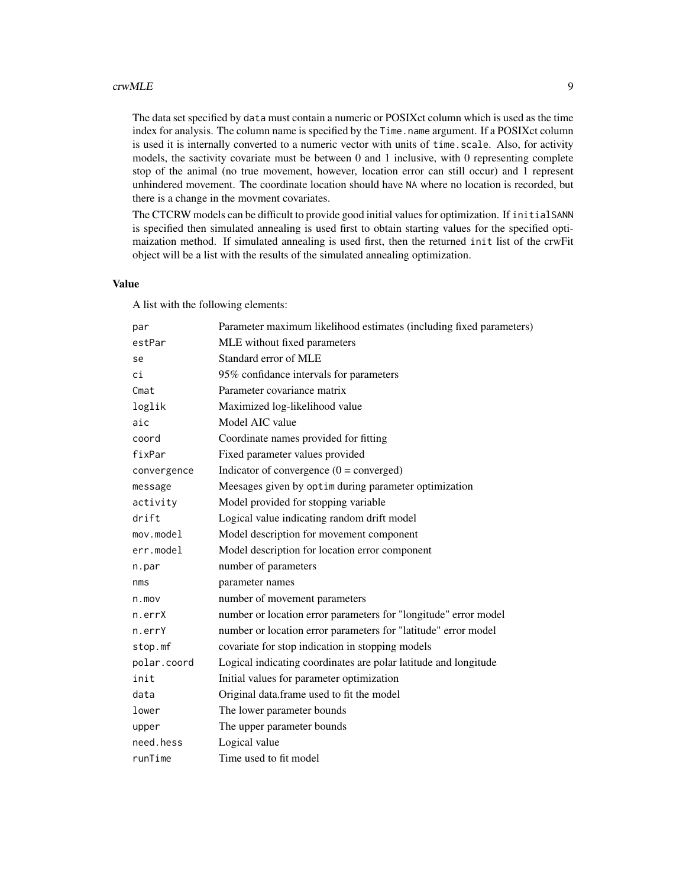#### crwMLE 9

The data set specified by data must contain a numeric or POSIXct column which is used as the time index for analysis. The column name is specified by the Time.name argument. If a POSIXct column is used it is internally converted to a numeric vector with units of time. scale. Also, for activity models, the sactivity covariate must be between 0 and 1 inclusive, with 0 representing complete stop of the animal (no true movement, however, location error can still occur) and 1 represent unhindered movement. The coordinate location should have NA where no location is recorded, but there is a change in the movment covariates.

The CTCRW models can be difficult to provide good initial values for optimization. If initialSANN is specified then simulated annealing is used first to obtain starting values for the specified optimaization method. If simulated annealing is used first, then the returned init list of the crwFit object will be a list with the results of the simulated annealing optimization.

#### Value

A list with the following elements:

| par             | Parameter maximum likelihood estimates (including fixed parameters) |
|-----------------|---------------------------------------------------------------------|
| estPar          | MLE without fixed parameters                                        |
| se              | Standard error of MLE                                               |
| сi              | 95% confidance intervals for parameters                             |
| Cmat            | Parameter covariance matrix                                         |
| loglik          | Maximized log-likelihood value                                      |
| aic             | Model AIC value                                                     |
| coord           | Coordinate names provided for fitting                               |
| fixPar          | Fixed parameter values provided                                     |
| convergence     | Indicator of convergence $(0 =$ converged)                          |
| message         | Meesages given by optim during parameter optimization               |
| activity        | Model provided for stopping variable                                |
| drift           | Logical value indicating random drift model                         |
| mov্math> model | Model description for movement component                            |
| err.model       | Model description for location error component                      |
| n.par           | number of parameters                                                |
| nms             | parameter names                                                     |
| $n$ . mov       | number of movement parameters                                       |
| n.errX          | number or location error parameters for "longitude" error model     |
| n.errY          | number or location error parameters for "latitude" error model      |
| stop.mf         | covariate for stop indication in stopping models                    |
| polar.coord     | Logical indicating coordinates are polar latitude and longitude     |
| init            | Initial values for parameter optimization                           |
| data            | Original data.frame used to fit the model                           |
| lower           | The lower parameter bounds                                          |
| upper           | The upper parameter bounds                                          |
| need.hess       | Logical value                                                       |
| runTime         | Time used to fit model                                              |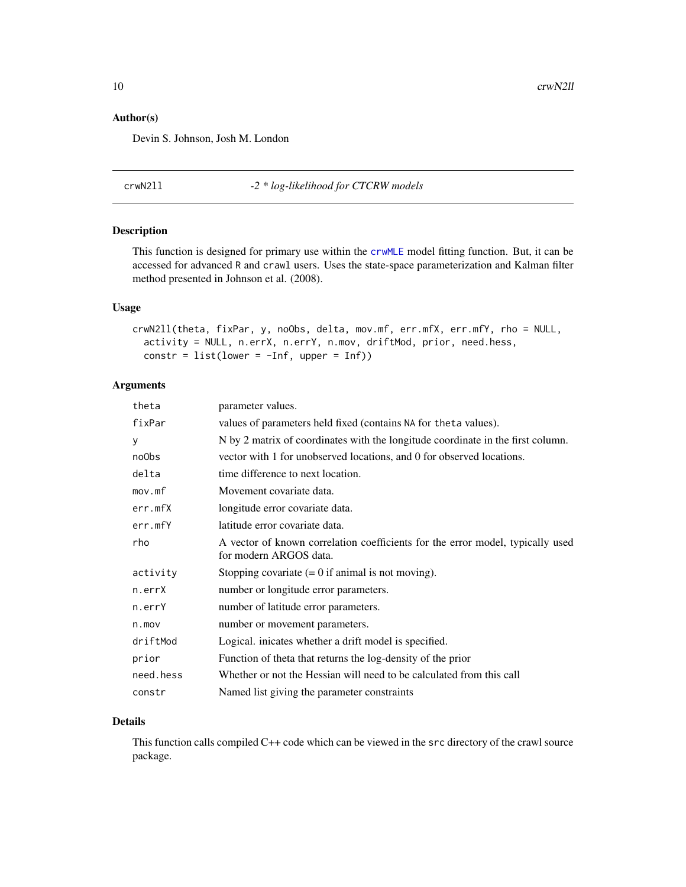# <span id="page-9-0"></span>Author(s)

Devin S. Johnson, Josh M. London

crwN2ll *-2 \* log-likelihood for CTCRW models*

#### Description

This function is designed for primary use within the [crwMLE](#page-6-1) model fitting function. But, it can be accessed for advanced R and crawl users. Uses the state-space parameterization and Kalman filter method presented in Johnson et al. (2008).

# Usage

```
crwN2ll(theta, fixPar, y, noObs, delta, mov.mf, err.mfX, err.mfY, rho = NULL,
  activity = NULL, n.errX, n.errY, n.mov, driftMod, prior, need.hess,
  constr = list(lower = -Inf, upper = Inf))
```
# Arguments

| theta     | parameter values.                                                                                        |
|-----------|----------------------------------------------------------------------------------------------------------|
| fixPar    | values of parameters held fixed (contains NA for the ta values).                                         |
| У         | N by 2 matrix of coordinates with the longitude coordinate in the first column.                          |
| no0bs     | vector with 1 for unobserved locations, and 0 for observed locations.                                    |
| delta     | time difference to next location.                                                                        |
| mov.mf    | Movement covariate data.                                                                                 |
| err.mfX   | longitude error covariate data.                                                                          |
| err.mfY   | latitude error covariate data.                                                                           |
| rho       | A vector of known correlation coefficients for the error model, typically used<br>for modern ARGOS data. |
| activity  | Stopping covariate $(= 0$ if animal is not moving).                                                      |
| n.errX    | number or longitude error parameters.                                                                    |
| n.errY    | number of latitude error parameters.                                                                     |
| $n$ . mov | number or movement parameters.                                                                           |
| driftMod  | Logical. inicates whether a drift model is specified.                                                    |
| prior     | Function of theta that returns the log-density of the prior                                              |
| need.hess | Whether or not the Hessian will need to be calculated from this call                                     |
| constr    | Named list giving the parameter constraints                                                              |

#### Details

This function calls compiled C++ code which can be viewed in the src directory of the crawl source package.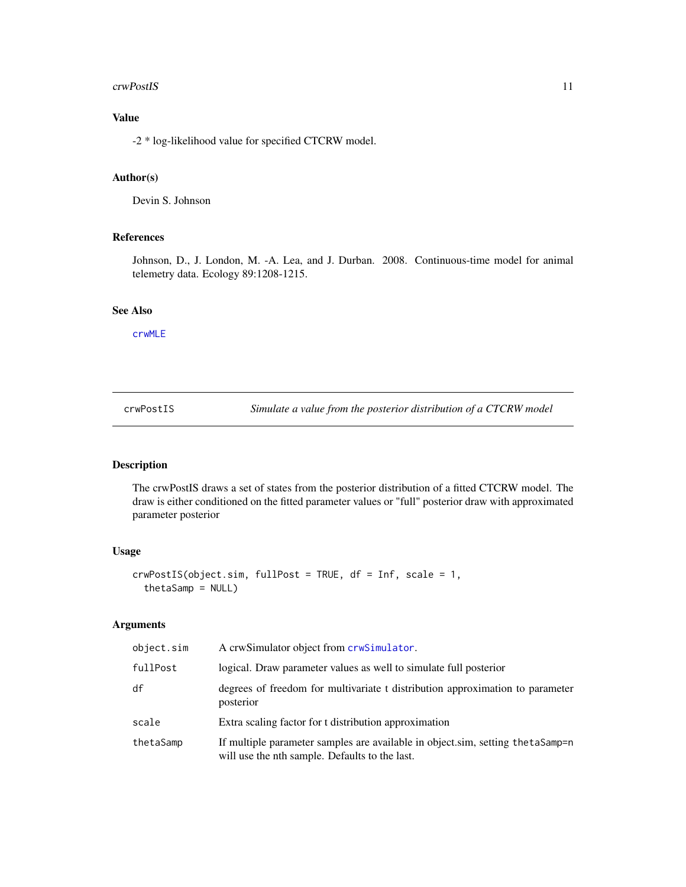#### <span id="page-10-0"></span>crwPostIS 11

# Value

-2 \* log-likelihood value for specified CTCRW model.

# Author(s)

Devin S. Johnson

# References

Johnson, D., J. London, M. -A. Lea, and J. Durban. 2008. Continuous-time model for animal telemetry data. Ecology 89:1208-1215.

#### See Also

[crwMLE](#page-6-1)

<span id="page-10-1"></span>crwPostIS *Simulate a value from the posterior distribution of a CTCRW model*

# Description

The crwPostIS draws a set of states from the posterior distribution of a fitted CTCRW model. The draw is either conditioned on the fitted parameter values or "full" posterior draw with approximated parameter posterior

# Usage

```
crwPostIS(object.sim, fullPost = TRUE, df = Inf, scale = 1,
  thetaSamp = NULL)
```
#### Arguments

| object.sim | A crwSimulator object from crwSimulator.                                                                                          |
|------------|-----------------------------------------------------------------------------------------------------------------------------------|
| fullPost   | logical. Draw parameter values as well to simulate full posterior                                                                 |
| df         | degrees of freedom for multivariate t distribution approximation to parameter<br>posterior                                        |
| scale      | Extra scaling factor for t distribution approximation                                                                             |
| thetaSamp  | If multiple parameter samples are available in object sim, setting the taSamp=n<br>will use the nth sample. Defaults to the last. |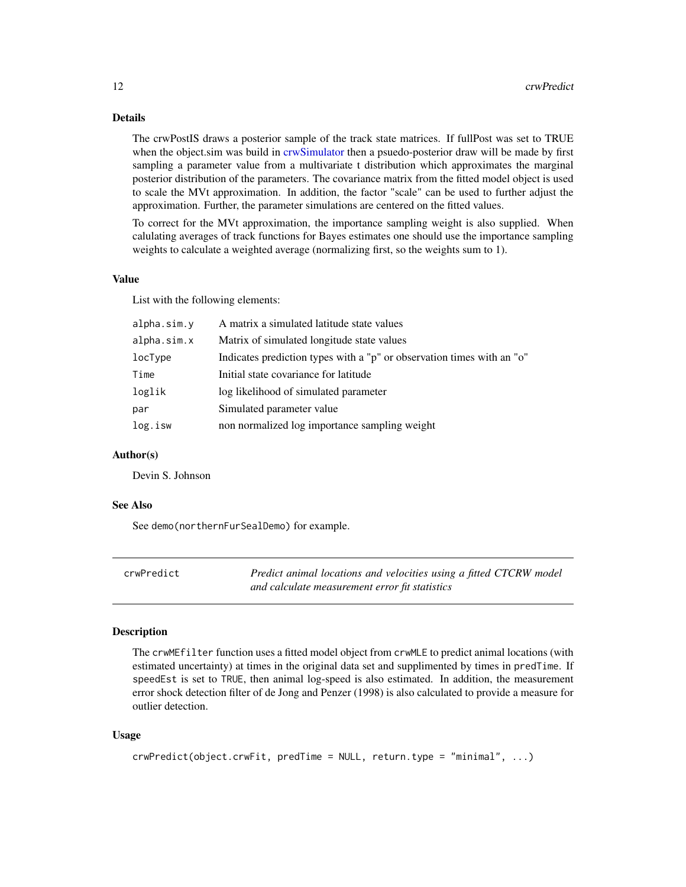# <span id="page-11-0"></span>Details

The crwPostIS draws a posterior sample of the track state matrices. If fullPost was set to TRUE when the object.sim was build in [crwSimulator](#page-15-1) then a psuedo-posterior draw will be made by first sampling a parameter value from a multivariate t distribution which approximates the marginal posterior distribution of the parameters. The covariance matrix from the fitted model object is used to scale the MVt approximation. In addition, the factor "scale" can be used to further adjust the approximation. Further, the parameter simulations are centered on the fitted values.

To correct for the MVt approximation, the importance sampling weight is also supplied. When calulating averages of track functions for Bayes estimates one should use the importance sampling weights to calculate a weighted average (normalizing first, so the weights sum to 1).

#### Value

List with the following elements:

| alpha.sim.y | A matrix a simulated latitude state values                             |
|-------------|------------------------------------------------------------------------|
| alpha.sim.x | Matrix of simulated longitude state values                             |
| locType     | Indicates prediction types with a "p" or observation times with an "o" |
| Time        | Initial state covariance for latitude                                  |
| loglik      | log likelihood of simulated parameter                                  |
| par         | Simulated parameter value                                              |
| log.isw     | non normalized log importance sampling weight                          |
|             |                                                                        |

#### Author(s)

Devin S. Johnson

#### See Also

See demo(northernFurSealDemo) for example.

<span id="page-11-1"></span>

| crwPredict | Predict animal locations and velocities using a fitted CTCRW model |
|------------|--------------------------------------------------------------------|
|            | and calculate measurement error fit statistics                     |

#### Description

The crwMEfilter function uses a fitted model object from crwMLE to predict animal locations (with estimated uncertainty) at times in the original data set and supplimented by times in predTime. If speedEst is set to TRUE, then animal log-speed is also estimated. In addition, the measurement error shock detection filter of de Jong and Penzer (1998) is also calculated to provide a measure for outlier detection.

#### Usage

```
crwPredict(object.crwFit, predTime = NULL, return.type = "minimal", ...)
```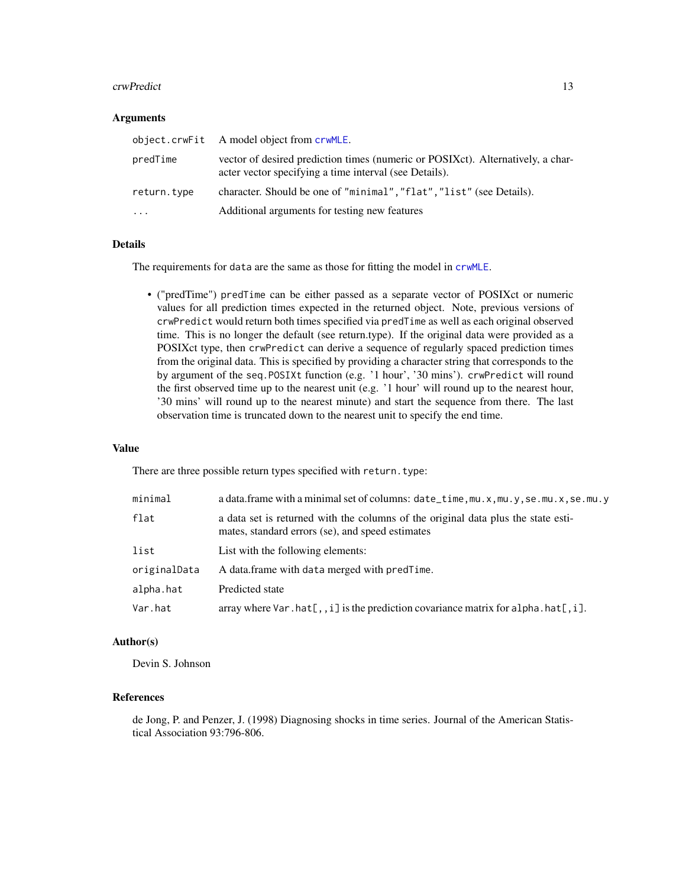#### <span id="page-12-0"></span>crwPredict 23

#### **Arguments**

|             | object.crwFit A model object from crwMLE.                                                                                                 |
|-------------|-------------------------------------------------------------------------------------------------------------------------------------------|
| predTime    | vector of desired prediction times (numeric or POSIXct). Alternatively, a char-<br>acter vector specifying a time interval (see Details). |
| return.type | character. Should be one of "minimal", "flat", "list" (see Details).                                                                      |
| $\cdots$    | Additional arguments for testing new features                                                                                             |

# Details

The requirements for data are the same as those for fitting the model in [crwMLE](#page-6-1).

• ("predTime") predTime can be either passed as a separate vector of POSIXct or numeric values for all prediction times expected in the returned object. Note, previous versions of crwPredict would return both times specified via predTime as well as each original observed time. This is no longer the default (see return.type). If the original data were provided as a POSIXct type, then crwPredict can derive a sequence of regularly spaced prediction times from the original data. This is specified by providing a character string that corresponds to the by argument of the seq.POSIXt function (e.g. '1 hour', '30 mins'). crwPredict will round the first observed time up to the nearest unit (e.g. '1 hour' will round up to the nearest hour, '30 mins' will round up to the nearest minute) and start the sequence from there. The last observation time is truncated down to the nearest unit to specify the end time.

#### Value

There are three possible return types specified with return.type:

| minimal      | a data.frame with a minimal set of columns: date_time, mu.x, mu.y, se.mu.x, se.mu.y                                                   |
|--------------|---------------------------------------------------------------------------------------------------------------------------------------|
| flat         | a data set is returned with the columns of the original data plus the state esti-<br>mates, standard errors (se), and speed estimates |
| list         | List with the following elements:                                                                                                     |
| originalData | A data.frame with data merged with predTime.                                                                                          |
| alpha.hat    | Predicted state                                                                                                                       |
| Var.hat      | array where $\forall$ ar.hat $[$ ,, i] is the prediction covariance matrix for alpha.hat $[$ , i].                                    |

#### Author(s)

Devin S. Johnson

#### References

de Jong, P. and Penzer, J. (1998) Diagnosing shocks in time series. Journal of the American Statistical Association 93:796-806.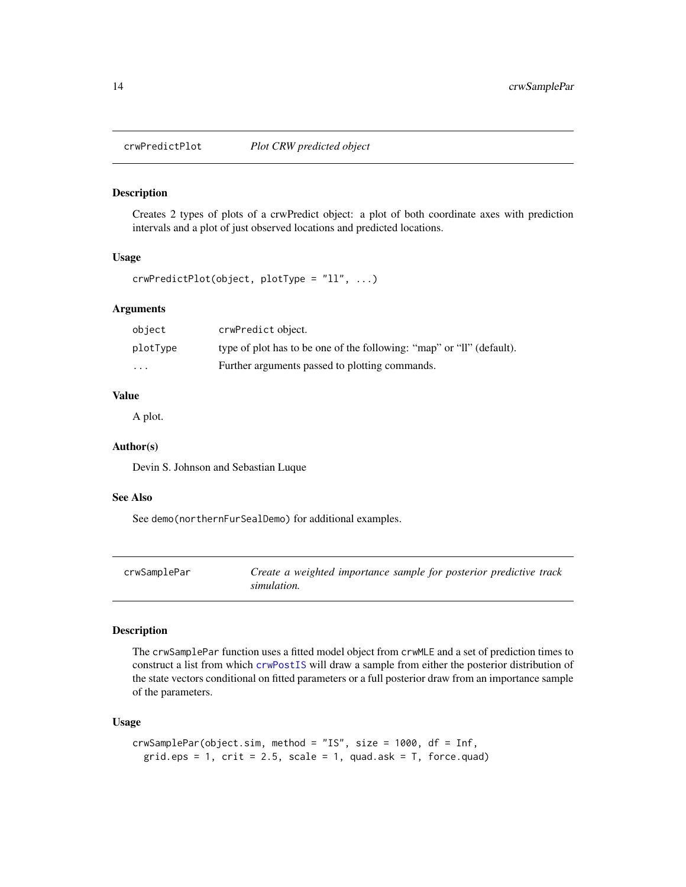<span id="page-13-0"></span>

Creates 2 types of plots of a crwPredict object: a plot of both coordinate axes with prediction intervals and a plot of just observed locations and predicted locations.

# Usage

```
crwPredictPlot(object, plotType = "ll", ...)
```
#### Arguments

| object                  | crwPredict object.                                                    |
|-------------------------|-----------------------------------------------------------------------|
| plotType                | type of plot has to be one of the following: "map" or "ll" (default). |
| $\cdot$ $\cdot$ $\cdot$ | Further arguments passed to plotting commands.                        |

## Value

A plot.

#### Author(s)

Devin S. Johnson and Sebastian Luque

#### See Also

See demo(northernFurSealDemo) for additional examples.

crwSamplePar *Create a weighted importance sample for posterior predictive track simulation.*

#### Description

The crwSamplePar function uses a fitted model object from crwMLE and a set of prediction times to construct a list from which [crwPostIS](#page-10-1) will draw a sample from either the posterior distribution of the state vectors conditional on fitted parameters or a full posterior draw from an importance sample of the parameters.

#### Usage

```
crwSamplePar(object.sim, method = "IS", size = 1000, df = Inf,
  grid.eps = 1, crit = 2.5, scale = 1, quad.ask = T, force.quad)
```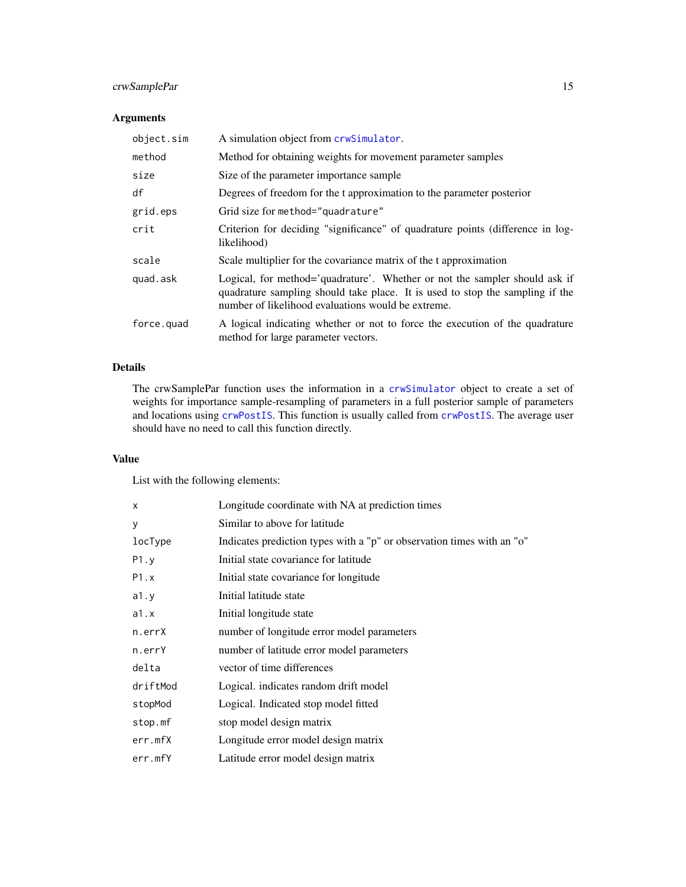# <span id="page-14-0"></span>crwSamplePar 15

# Arguments

| object.sim | A simulation object from crwSimulator.                                                                                                                                                                            |
|------------|-------------------------------------------------------------------------------------------------------------------------------------------------------------------------------------------------------------------|
| method     | Method for obtaining weights for movement parameter samples                                                                                                                                                       |
| size       | Size of the parameter importance sample                                                                                                                                                                           |
| df         | Degrees of freedom for the t approximation to the parameter posterior                                                                                                                                             |
| grid.eps   | Grid size for method="quadrature"                                                                                                                                                                                 |
| crit       | Criterion for deciding "significance" of quadrature points (difference in log-<br>likelihood)                                                                                                                     |
| scale      | Scale multiplier for the covariance matrix of the t approximation                                                                                                                                                 |
| quad.ask   | Logical, for method='quadrature'. Whether or not the sampler should ask if<br>quadrature sampling should take place. It is used to stop the sampling if the<br>number of likelihood evaluations would be extreme. |
| force.quad | A logical indicating whether or not to force the execution of the quadrature<br>method for large parameter vectors.                                                                                               |

# Details

The crwSamplePar function uses the information in a [crwSimulator](#page-15-1) object to create a set of weights for importance sample-resampling of parameters in a full posterior sample of parameters and locations using [crwPostIS](#page-10-1). This function is usually called from [crwPostIS](#page-10-1). The average user should have no need to call this function directly.

#### Value

List with the following elements:

| X        | Longitude coordinate with NA at prediction times                       |
|----------|------------------------------------------------------------------------|
| У        | Similar to above for latitude                                          |
| locType  | Indicates prediction types with a "p" or observation times with an "o" |
| P1.y     | Initial state covariance for latitude                                  |
| P1.x     | Initial state covariance for longitude                                 |
| a1.y     | Initial latitude state                                                 |
| a1.x     | Initial longitude state                                                |
| n.errX   | number of longitude error model parameters                             |
| n.errY   | number of latitude error model parameters                              |
| delta    | vector of time differences                                             |
| driftMod | Logical. indicates random drift model                                  |
| stopMod  | Logical. Indicated stop model fitted                                   |
| stop.mf  | stop model design matrix                                               |
| err.mfX  | Longitude error model design matrix                                    |
| err.mfY  | Latitude error model design matrix                                     |
|          |                                                                        |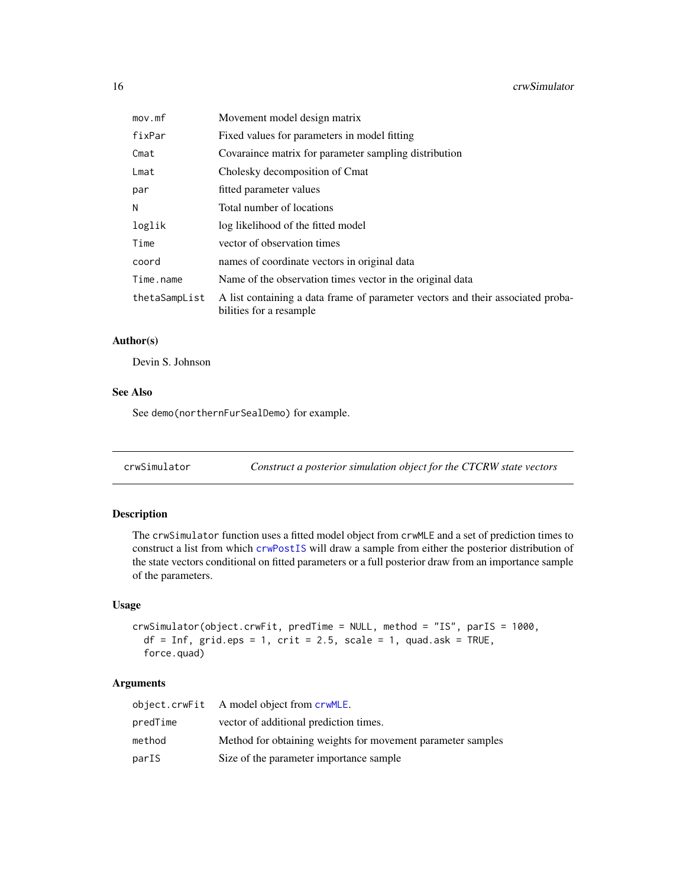<span id="page-15-0"></span>

| mov.mf        | Movement model design matrix                                                                               |
|---------------|------------------------------------------------------------------------------------------------------------|
| fixPar        | Fixed values for parameters in model fitting                                                               |
| Cmat          | Covaraince matrix for parameter sampling distribution                                                      |
| Lmat          | Cholesky decomposition of Cmat                                                                             |
| par           | fitted parameter values                                                                                    |
| Ν             | Total number of locations                                                                                  |
| loglik        | log likelihood of the fitted model                                                                         |
| Time          | vector of observation times                                                                                |
| coord         | names of coordinate vectors in original data                                                               |
| Time.name     | Name of the observation times vector in the original data                                                  |
| thetaSampList | A list containing a data frame of parameter vectors and their associated proba-<br>bilities for a resample |

# Author(s)

Devin S. Johnson

# See Also

See demo(northernFurSealDemo) for example.

<span id="page-15-1"></span>

|  | crwSimulator |  |  | Construct a posterior simulation object for the CTCRW state vectors |
|--|--------------|--|--|---------------------------------------------------------------------|
|--|--------------|--|--|---------------------------------------------------------------------|

# Description

The crwSimulator function uses a fitted model object from crwMLE and a set of prediction times to construct a list from which [crwPostIS](#page-10-1) will draw a sample from either the posterior distribution of the state vectors conditional on fitted parameters or a full posterior draw from an importance sample of the parameters.

#### Usage

```
crwSimulator(object.crwFit, predTime = NULL, method = "IS", parIS = 1000,
  df = Inf, grid.eps = 1, crit = 2.5, scale = 1, quad.ask = TRUE,
  force.quad)
```
# Arguments

|          | object.crwFit A model object from crwMLE.                   |
|----------|-------------------------------------------------------------|
| predTime | vector of additional prediction times.                      |
| method   | Method for obtaining weights for movement parameter samples |
| parIS    | Size of the parameter importance sample                     |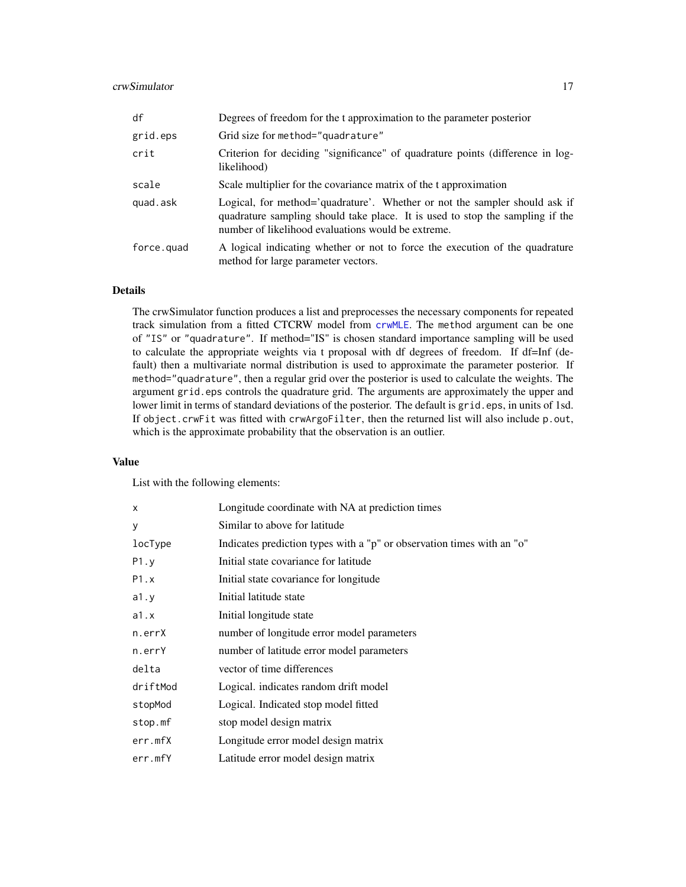# <span id="page-16-0"></span>crwSimulator 17

| df         | Degrees of freedom for the t approximation to the parameter posterior                                                                                                                                             |
|------------|-------------------------------------------------------------------------------------------------------------------------------------------------------------------------------------------------------------------|
| grid.eps   | Grid size for method="quadrature"                                                                                                                                                                                 |
| crit       | Criterion for deciding "significance" of quadrature points (difference in log-<br>likelihood)                                                                                                                     |
| scale      | Scale multiplier for the covariance matrix of the t approximation                                                                                                                                                 |
| quad.ask   | Logical, for method='quadrature'. Whether or not the sampler should ask if<br>quadrature sampling should take place. It is used to stop the sampling if the<br>number of likelihood evaluations would be extreme. |
| force.quad | A logical indicating whether or not to force the execution of the quadrature<br>method for large parameter vectors.                                                                                               |

# Details

The crwSimulator function produces a list and preprocesses the necessary components for repeated track simulation from a fitted CTCRW model from [crwMLE](#page-6-1). The method argument can be one of "IS" or "quadrature". If method="IS" is chosen standard importance sampling will be used to calculate the appropriate weights via t proposal with df degrees of freedom. If df=Inf (default) then a multivariate normal distribution is used to approximate the parameter posterior. If method="quadrature", then a regular grid over the posterior is used to calculate the weights. The argument grid.eps controls the quadrature grid. The arguments are approximately the upper and lower limit in terms of standard deviations of the posterior. The default is grid.eps, in units of 1sd. If object.crwFit was fitted with crwArgoFilter, then the returned list will also include p.out, which is the approximate probability that the observation is an outlier.

#### Value

List with the following elements:

| X        | Longitude coordinate with NA at prediction times                       |
|----------|------------------------------------------------------------------------|
| У        | Similar to above for latitude                                          |
| locType  | Indicates prediction types with a "p" or observation times with an "o" |
| P1.y     | Initial state covariance for latitude                                  |
| P1.x     | Initial state covariance for longitude                                 |
| a1.y     | Initial latitude state                                                 |
| a1.x     | Initial longitude state                                                |
| n.errX   | number of longitude error model parameters                             |
| n.errY   | number of latitude error model parameters                              |
| delta    | vector of time differences                                             |
| driftMod | Logical. indicates random drift model                                  |
| stopMod  | Logical. Indicated stop model fitted                                   |
| stop.mf  | stop model design matrix                                               |
| err.mfX  | Longitude error model design matrix                                    |
| err.mfY  | Latitude error model design matrix                                     |
|          |                                                                        |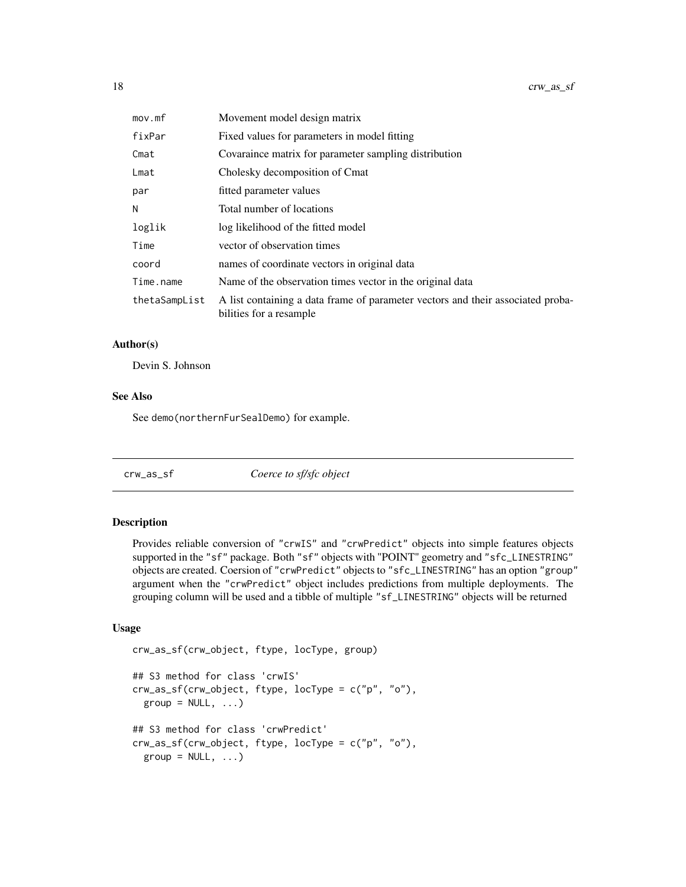<span id="page-17-0"></span>

| mov.mf        | Movement model design matrix                                                                               |
|---------------|------------------------------------------------------------------------------------------------------------|
| fixPar        | Fixed values for parameters in model fitting                                                               |
| Cmat          | Covaraince matrix for parameter sampling distribution                                                      |
| Lmat          | Cholesky decomposition of Cmat                                                                             |
| par           | fitted parameter values                                                                                    |
| Ν             | Total number of locations                                                                                  |
| loglik        | log likelihood of the fitted model                                                                         |
| Time          | vector of observation times                                                                                |
| coord         | names of coordinate vectors in original data                                                               |
| Time.name     | Name of the observation times vector in the original data                                                  |
| thetaSampList | A list containing a data frame of parameter vectors and their associated proba-<br>bilities for a resample |

#### Author(s)

Devin S. Johnson

#### See Also

See demo(northernFurSealDemo) for example.

| Coerce to sf/sfc object<br>crw_as_sf |  |
|--------------------------------------|--|
|--------------------------------------|--|

#### Description

Provides reliable conversion of "crwIS" and "crwPredict" objects into simple features objects supported in the "sf" package. Both "sf" objects with "POINT" geometry and "sfc\_LINESTRING" objects are created. Coersion of "crwPredict" objects to "sfc\_LINESTRING" has an option "group" argument when the "crwPredict" object includes predictions from multiple deployments. The grouping column will be used and a tibble of multiple "sf\_LINESTRING" objects will be returned

# Usage

```
crw_as_sf(crw_object, ftype, locType, group)
## S3 method for class 'crwIS'
crw_as_sf(crw_object, ftype, locType = c("p", "o"),
  group = NULL, ...)## S3 method for class 'crwPredict'
crw_as_sf(crw_object, ftype, locType = c("p", "o"),
 group = NULL, ...)
```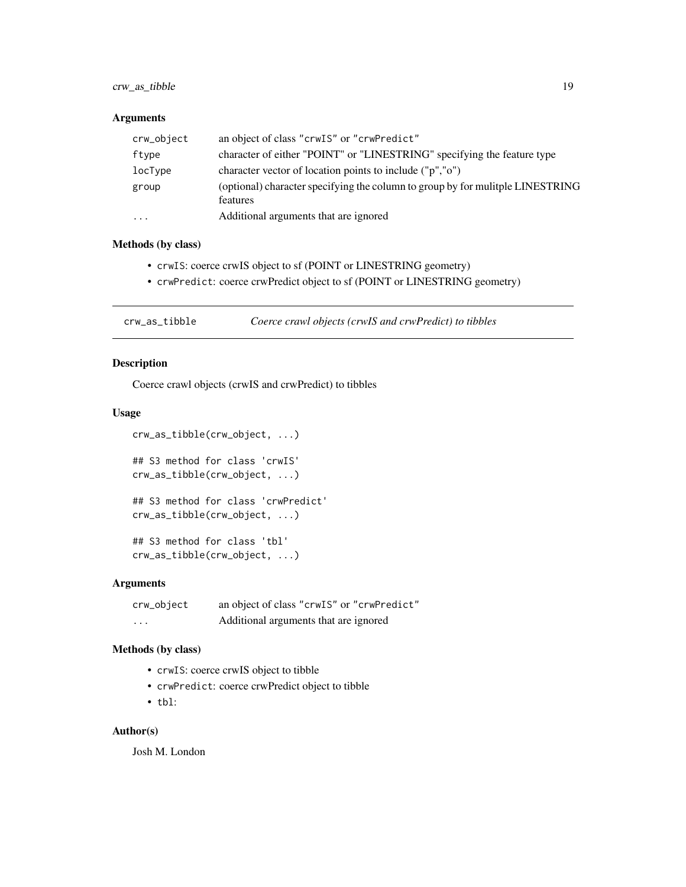# <span id="page-18-0"></span>crw\_as\_tibble 19

#### Arguments

| crw_object | an object of class "crwIS" or "crwPredict"                                                 |
|------------|--------------------------------------------------------------------------------------------|
| ftype      | character of either "POINT" or "LINESTRING" specifying the feature type                    |
| locType    | character vector of location points to include ("p","o")                                   |
| group      | (optional) character specifying the column to group by for mulitple LINESTRING<br>features |
| .          | Additional arguments that are ignored                                                      |

# Methods (by class)

- crwIS: coerce crwIS object to sf (POINT or LINESTRING geometry)
- crwPredict: coerce crwPredict object to sf (POINT or LINESTRING geometry)

crw\_as\_tibble *Coerce crawl objects (crwIS and crwPredict) to tibbles*

# Description

Coerce crawl objects (crwIS and crwPredict) to tibbles

# Usage

```
crw_as_tibble(crw_object, ...)
```
## S3 method for class 'crwIS' crw\_as\_tibble(crw\_object, ...)

```
## S3 method for class 'crwPredict'
crw_as_tibble(crw_object, ...)
```
## S3 method for class 'tbl' crw\_as\_tibble(crw\_object, ...)

#### Arguments

| crw_object | an object of class "crwIS" or "crwPredict" |
|------------|--------------------------------------------|
| .          | Additional arguments that are ignored      |

#### Methods (by class)

- crwIS: coerce crwIS object to tibble
- crwPredict: coerce crwPredict object to tibble
- tbl:

# Author(s)

Josh M. London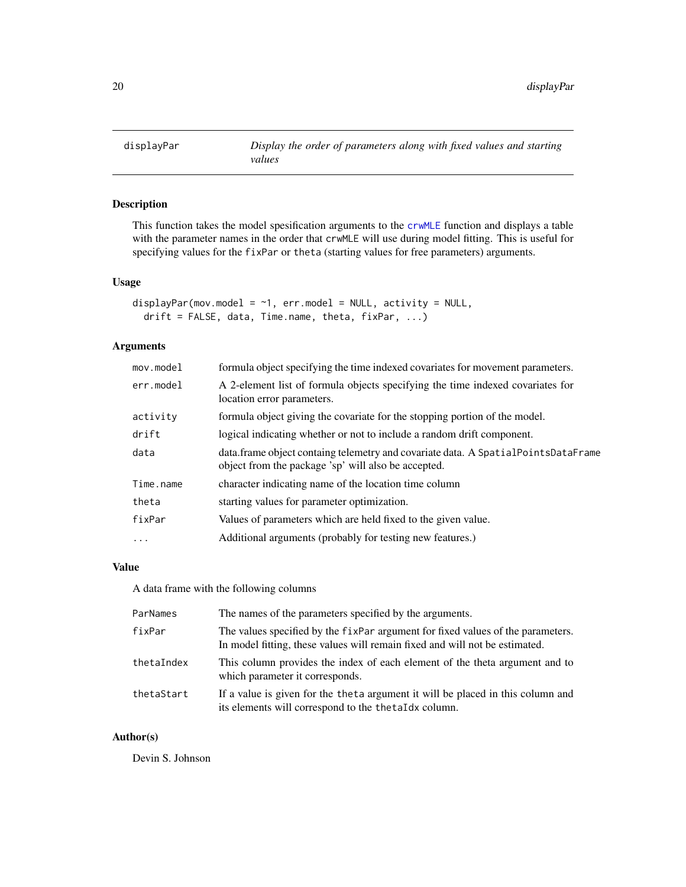<span id="page-19-0"></span>

This function takes the model spesification arguments to the [crwMLE](#page-6-1) function and displays a table with the parameter names in the order that crwMLE will use during model fitting. This is useful for specifying values for the fixPar or theta (starting values for free parameters) arguments.

# Usage

```
displayPar(mov.model = \sim1, err.model = NULL, activity = NULL,
  drift = FALSE, data, Time.name, theta, fixPar, ...)
```
# Arguments

| mov্math>model | formula object specifying the time indexed covariates for movement parameters.                                                            |
|----------------|-------------------------------------------------------------------------------------------------------------------------------------------|
| err.model      | A 2-element list of formula objects specifying the time indexed covariates for<br>location error parameters.                              |
| activity       | formula object giving the covariate for the stopping portion of the model.                                                                |
| drift          | logical indicating whether or not to include a random drift component.                                                                    |
| data           | data.frame object containg telemetry and covariate data. A Spatial PointsDataFrame<br>object from the package 'sp' will also be accepted. |
| Time.name      | character indicating name of the location time column                                                                                     |
| theta          | starting values for parameter optimization.                                                                                               |
| fixPar         | Values of parameters which are held fixed to the given value.                                                                             |
| $\ddots$ .     | Additional arguments (probably for testing new features.)                                                                                 |

# Value

A data frame with the following columns

| ParNames   | The names of the parameters specified by the arguments.                                                                                                       |
|------------|---------------------------------------------------------------------------------------------------------------------------------------------------------------|
| fixPar     | The values specified by the fixer argument for fixed values of the parameters.<br>In model fitting, these values will remain fixed and will not be estimated. |
| thetaIndex | This column provides the index of each element of the theta argument and to<br>which parameter it corresponds.                                                |
| thetaStart | If a value is given for the theta argument it will be placed in this column and<br>its elements will correspond to the thetaIdx column.                       |

#### Author(s)

Devin S. Johnson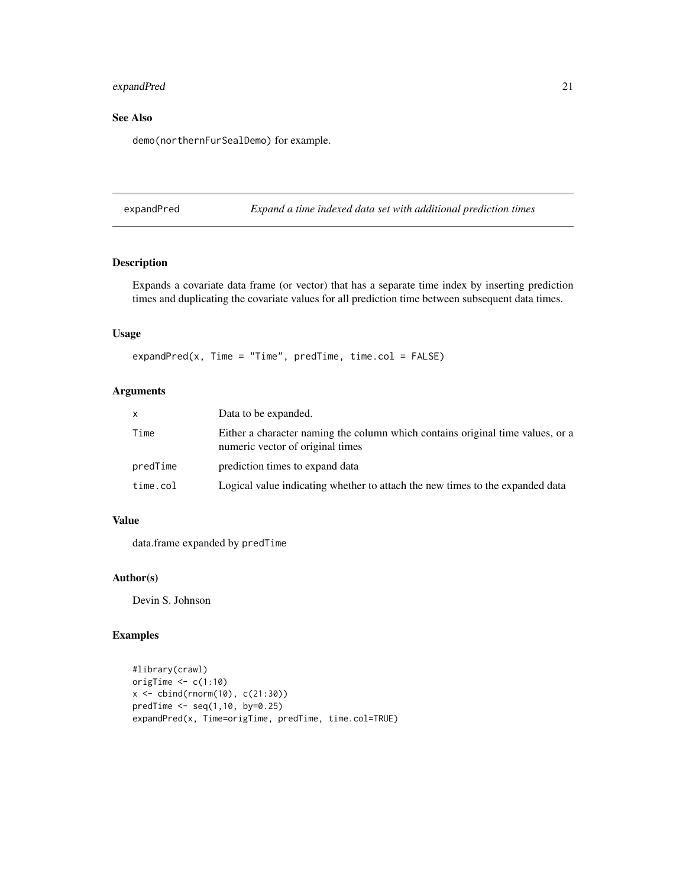# <span id="page-20-0"></span>expandPred 21

# See Also

demo(northernFurSealDemo) for example.

expandPred *Expand a time indexed data set with additional prediction times*

#### Description

Expands a covariate data frame (or vector) that has a separate time index by inserting prediction times and duplicating the covariate values for all prediction time between subsequent data times.

### Usage

expandPred(x, Time = "Time", predTime, time.col =  $FALSE$ )

# Arguments

| <b>X</b> | Data to be expanded.                                                                                               |
|----------|--------------------------------------------------------------------------------------------------------------------|
| Time     | Either a character naming the column which contains original time values, or a<br>numeric vector of original times |
| predTime | prediction times to expand data                                                                                    |
| time.col | Logical value indicating whether to attach the new times to the expanded data                                      |

#### Value

data.frame expanded by predTime

#### Author(s)

Devin S. Johnson

# Examples

```
#library(crawl)
origTime \leq c(1:10)x \le - \text{cbind}(rnorm(10), c(21:30))predTime < -seq(1,10, by=0.25)expandPred(x, Time=origTime, predTime, time.col=TRUE)
```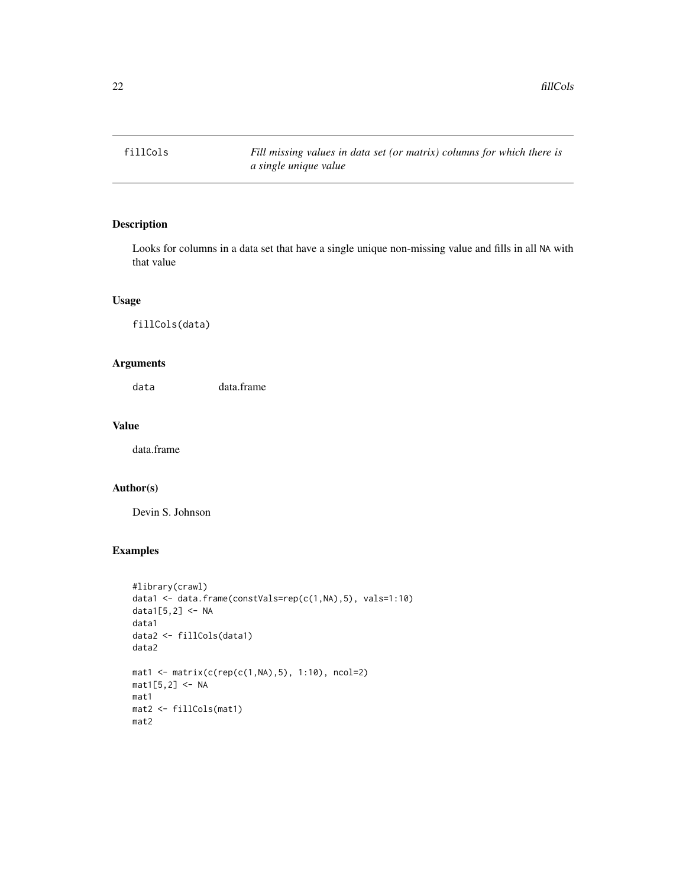<span id="page-21-0"></span>

Looks for columns in a data set that have a single unique non-missing value and fills in all NA with that value

# Usage

fillCols(data)

# Arguments

data data.frame

#### Value

data.frame

#### Author(s)

Devin S. Johnson

# Examples

```
#library(crawl)
data1 <- data.frame(constVals=rep(c(1,NA),5), vals=1:10)
data1[5,2] <- NA
data1
data2 <- fillCols(data1)
data2
mat1 < - matrix(c(rep(c(1,NA),5), 1:10), ncol=2)mat1[5,2] < -NAmat1
mat2 <- fillCols(mat1)
mat2
```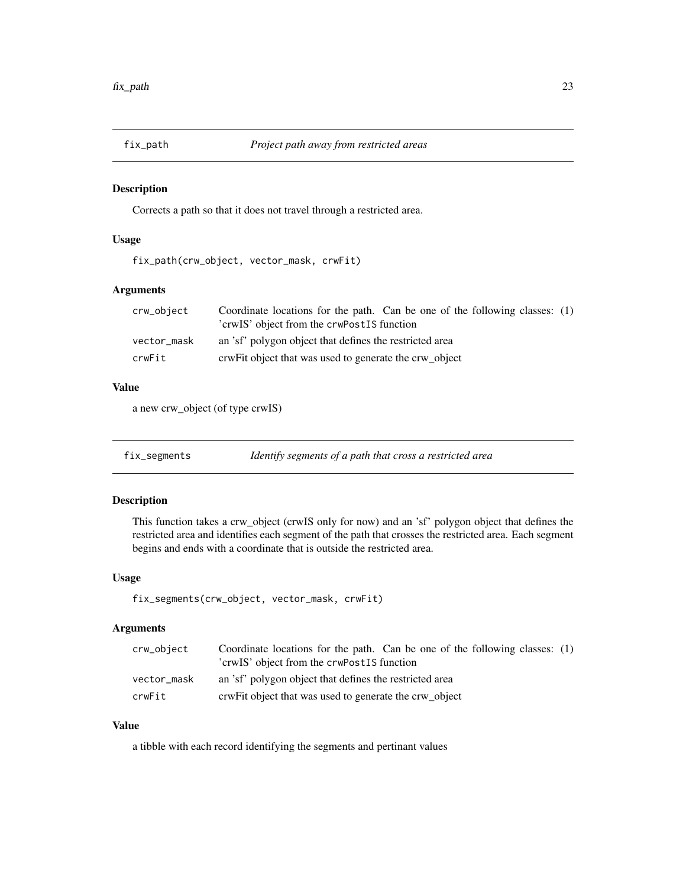<span id="page-22-0"></span>

Corrects a path so that it does not travel through a restricted area.

# Usage

fix\_path(crw\_object, vector\_mask, crwFit)

# Arguments

| crw_object  | Coordinate locations for the path. Can be one of the following classes: (1) |
|-------------|-----------------------------------------------------------------------------|
|             | 'crwIS' object from the crwPostIS function                                  |
| vector_mask | an 'sf' polygon object that defines the restricted area                     |
| crwFit      | crwFit object that was used to generate the crw object                      |

#### Value

a new crw\_object (of type crwIS)

fix\_segments *Identify segments of a path that cross a restricted area*

# Description

This function takes a crw\_object (crwIS only for now) and an 'sf' polygon object that defines the restricted area and identifies each segment of the path that crosses the restricted area. Each segment begins and ends with a coordinate that is outside the restricted area.

# Usage

fix\_segments(crw\_object, vector\_mask, crwFit)

# Arguments

| crw_object  | Coordinate locations for the path. Can be one of the following classes: (1)<br>'crwIS' object from the crwPostIS function |
|-------------|---------------------------------------------------------------------------------------------------------------------------|
| vector_mask | an 'sf' polygon object that defines the restricted area                                                                   |
| crwFit      | crwFit object that was used to generate the crw_object                                                                    |

# Value

a tibble with each record identifying the segments and pertinant values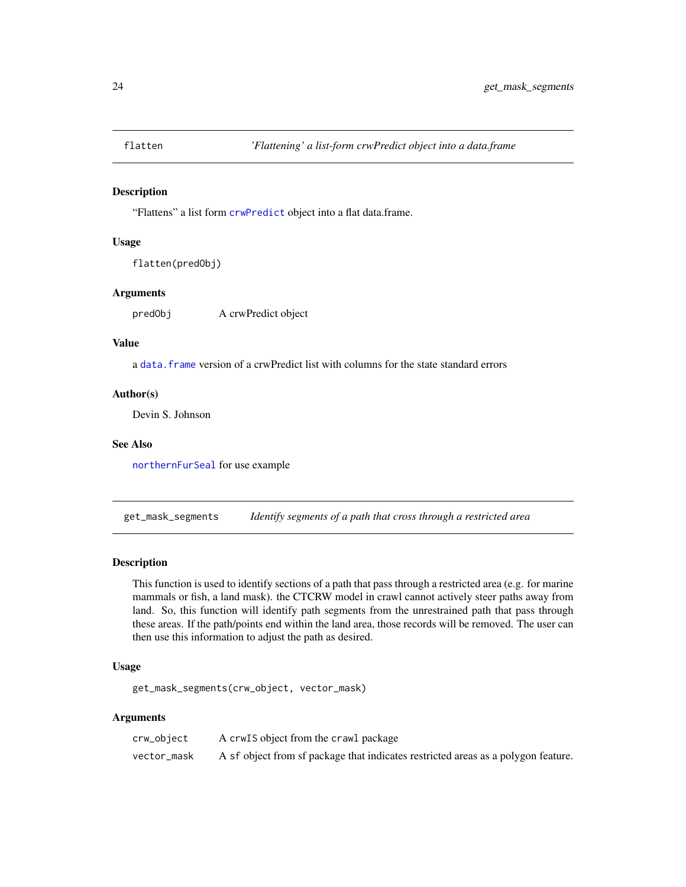<span id="page-23-0"></span>

"Flattens" a list form [crwPredict](#page-11-1) object into a flat data.frame.

#### Usage

```
flatten(predObj)
```
#### Arguments

predObj A crwPredict object

#### Value

a [data.frame](#page-0-0) version of a crwPredict list with columns for the state standard errors

# Author(s)

Devin S. Johnson

#### See Also

[northernFurSeal](#page-27-1) for use example

get\_mask\_segments *Identify segments of a path that cross through a restricted area*

## Description

This function is used to identify sections of a path that pass through a restricted area (e.g. for marine mammals or fish, a land mask). the CTCRW model in crawl cannot actively steer paths away from land. So, this function will identify path segments from the unrestrained path that pass through these areas. If the path/points end within the land area, those records will be removed. The user can then use this information to adjust the path as desired.

# Usage

get\_mask\_segments(crw\_object, vector\_mask)

#### Arguments

| crw_object  | A crw <sub>IS</sub> object from the crawl package                                 |
|-------------|-----------------------------------------------------------------------------------|
| vector_mask | A sf object from sf package that indicates restricted areas as a polygon feature. |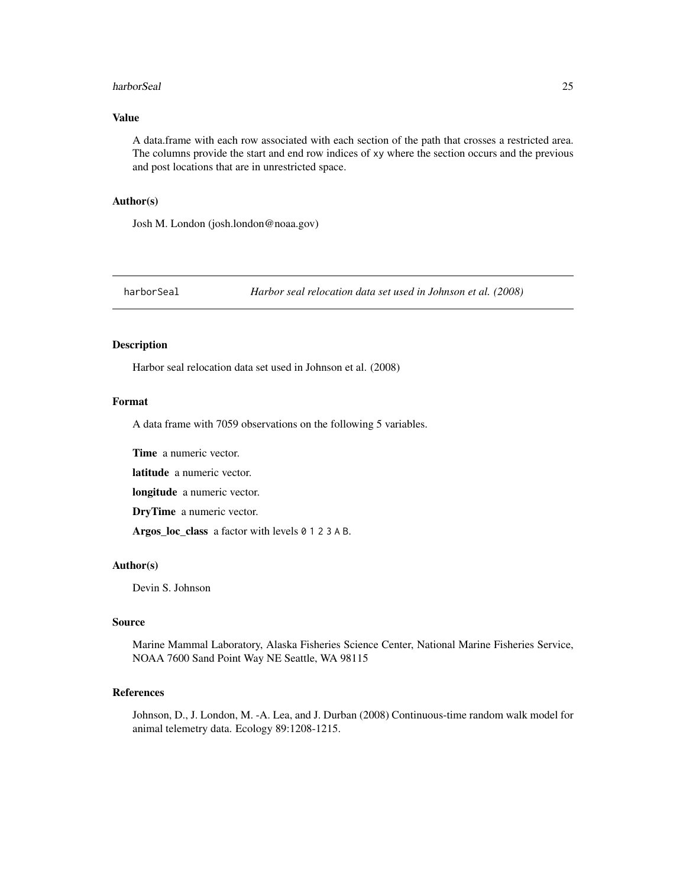#### <span id="page-24-0"></span>harborSeal 25

#### Value

A data.frame with each row associated with each section of the path that crosses a restricted area. The columns provide the start and end row indices of xy where the section occurs and the previous and post locations that are in unrestricted space.

#### Author(s)

Josh M. London (josh.london@noaa.gov)

harborSeal *Harbor seal relocation data set used in Johnson et al. (2008)*

# Description

Harbor seal relocation data set used in Johnson et al. (2008)

#### Format

A data frame with 7059 observations on the following 5 variables.

Time a numeric vector.

latitude a numeric vector.

longitude a numeric vector.

DryTime a numeric vector.

Argos\_loc\_class a factor with levels 0 1 2 3 A B.

# Author(s)

Devin S. Johnson

# Source

Marine Mammal Laboratory, Alaska Fisheries Science Center, National Marine Fisheries Service, NOAA 7600 Sand Point Way NE Seattle, WA 98115

# References

Johnson, D., J. London, M. -A. Lea, and J. Durban (2008) Continuous-time random walk model for animal telemetry data. Ecology 89:1208-1215.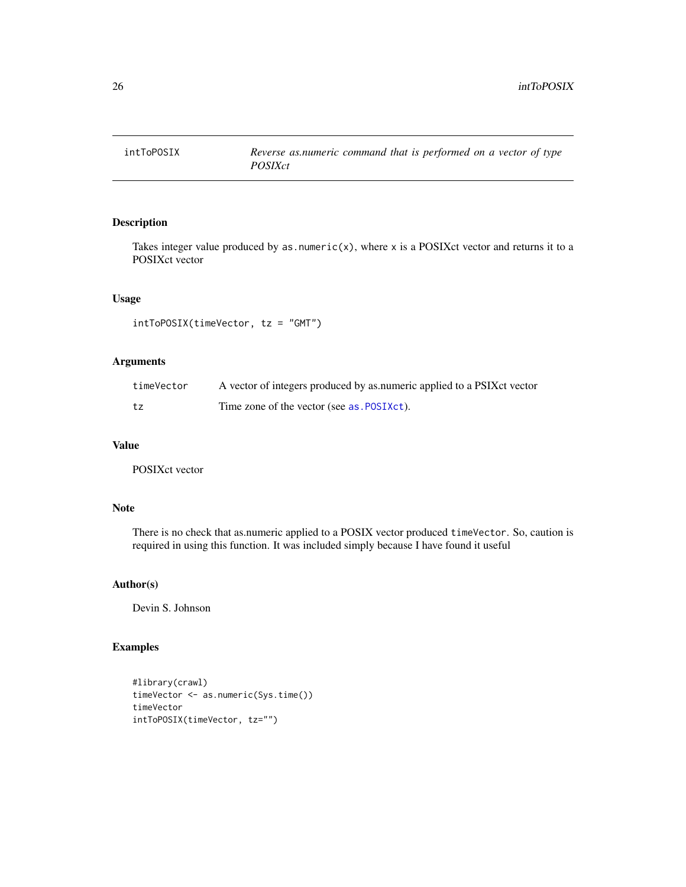<span id="page-25-0"></span>

Takes integer value produced by as.numeric(x), where x is a POSIXct vector and returns it to a POSIXct vector

#### Usage

intToPOSIX(timeVector, tz = "GMT")

# Arguments

| timeVector | A vector of integers produced by as numeric applied to a PSIX ct vector |
|------------|-------------------------------------------------------------------------|
| tz         | Time zone of the vector (see as POSIXct).                               |

#### Value

POSIXct vector

# Note

There is no check that as.numeric applied to a POSIX vector produced timeVector. So, caution is required in using this function. It was included simply because I have found it useful

# Author(s)

Devin S. Johnson

# Examples

```
#library(crawl)
timeVector <- as.numeric(Sys.time())
timeVector
intToPOSIX(timeVector, tz="")
```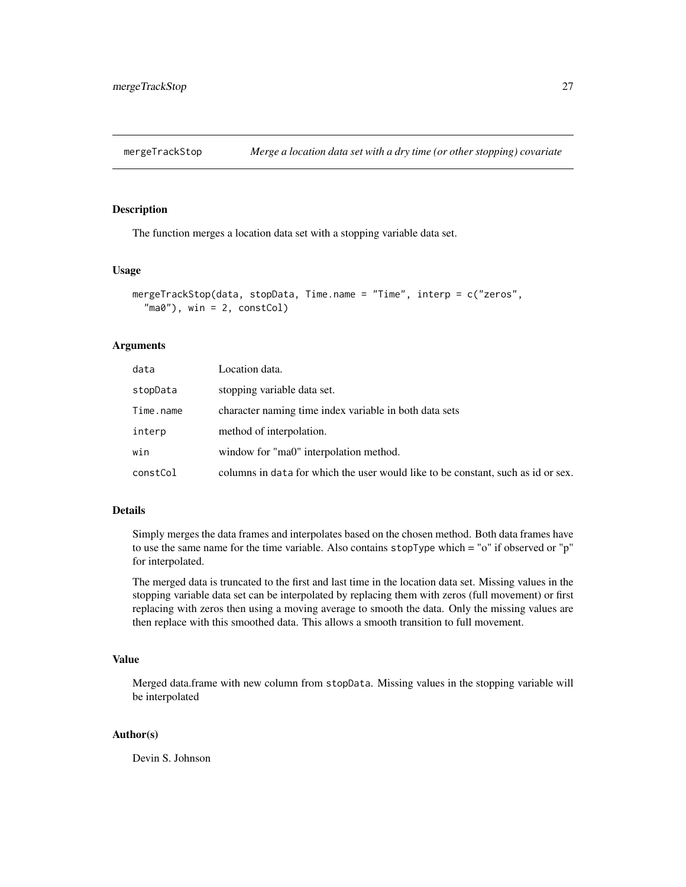<span id="page-26-0"></span>

The function merges a location data set with a stopping variable data set.

# Usage

```
mergeTrackStop(data, stopData, Time.name = "Time", interp = c("zeros",
  \text{"ma0"}, win = 2, constCol)
```
#### Arguments

| data      | Location data.                                                                   |
|-----------|----------------------------------------------------------------------------------|
| stopData  | stopping variable data set.                                                      |
| Time.name | character naming time index variable in both data sets                           |
| interp    | method of interpolation.                                                         |
| win       | window for "ma0" interpolation method.                                           |
| constCol  | columns in data for which the user would like to be constant, such as id or sex. |
|           |                                                                                  |

# Details

Simply merges the data frames and interpolates based on the chosen method. Both data frames have to use the same name for the time variable. Also contains stopType which = "o" if observed or "p" for interpolated.

The merged data is truncated to the first and last time in the location data set. Missing values in the stopping variable data set can be interpolated by replacing them with zeros (full movement) or first replacing with zeros then using a moving average to smooth the data. Only the missing values are then replace with this smoothed data. This allows a smooth transition to full movement.

# Value

Merged data.frame with new column from stopData. Missing values in the stopping variable will be interpolated

# Author(s)

Devin S. Johnson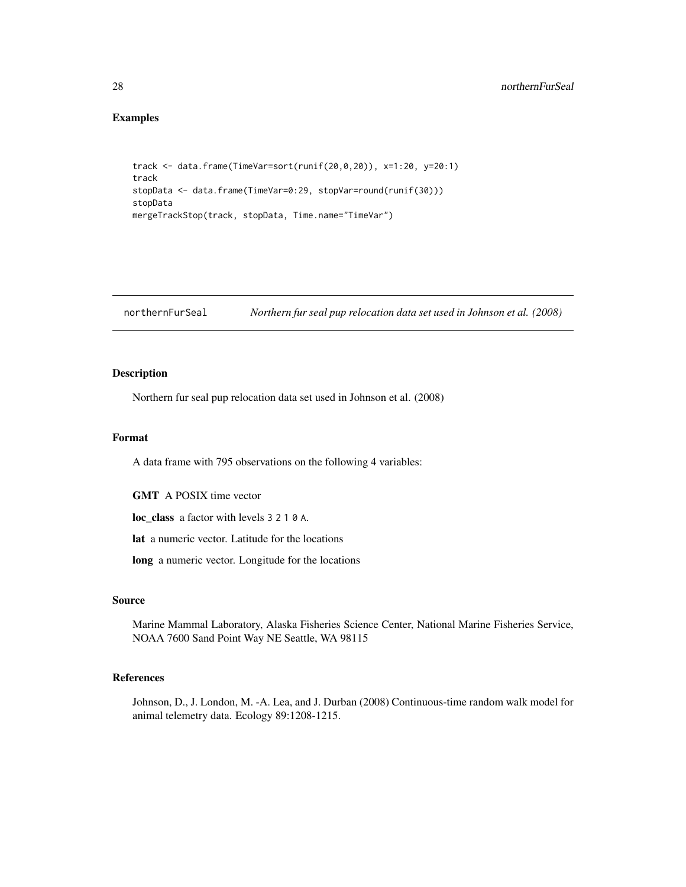# Examples

```
track <- data.frame(TimeVar=sort(runif(20,0,20)), x=1:20, y=20:1)
track
stopData <- data.frame(TimeVar=0:29, stopVar=round(runif(30)))
stopData
mergeTrackStop(track, stopData, Time.name="TimeVar")
```
<span id="page-27-1"></span>northernFurSeal *Northern fur seal pup relocation data set used in Johnson et al. (2008)*

#### Description

Northern fur seal pup relocation data set used in Johnson et al. (2008)

## Format

A data frame with 795 observations on the following 4 variables:

GMT A POSIX time vector

loc\_class a factor with levels 3 2 1 0 A.

lat a numeric vector. Latitude for the locations

long a numeric vector. Longitude for the locations

#### Source

Marine Mammal Laboratory, Alaska Fisheries Science Center, National Marine Fisheries Service, NOAA 7600 Sand Point Way NE Seattle, WA 98115

#### References

Johnson, D., J. London, M. -A. Lea, and J. Durban (2008) Continuous-time random walk model for animal telemetry data. Ecology 89:1208-1215.

<span id="page-27-0"></span>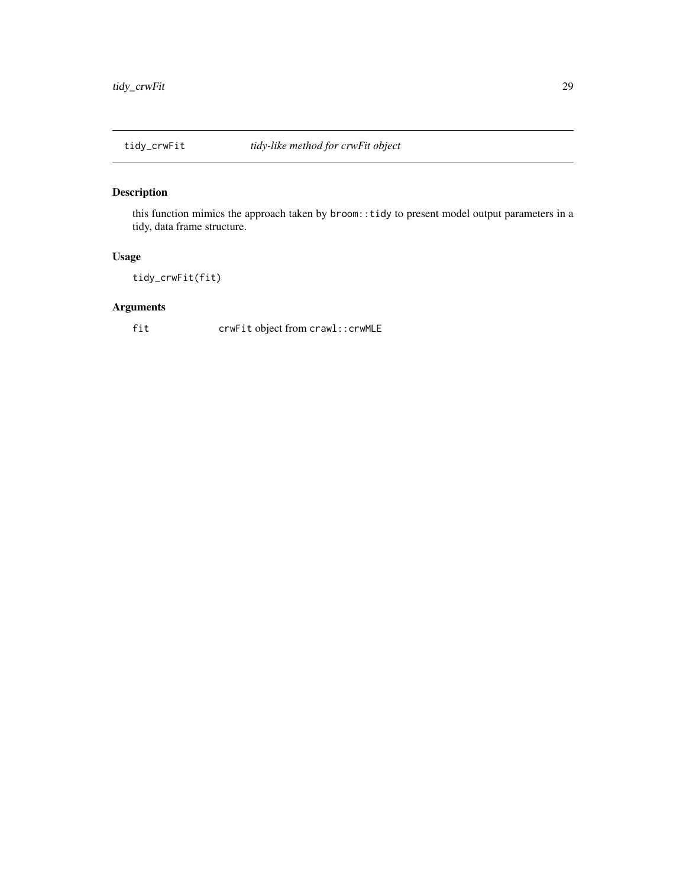<span id="page-28-0"></span>

this function mimics the approach taken by broom::tidy to present model output parameters in a tidy, data frame structure.

# Usage

tidy\_crwFit(fit)

# Arguments

fit crwFit object from crawl::crwMLE